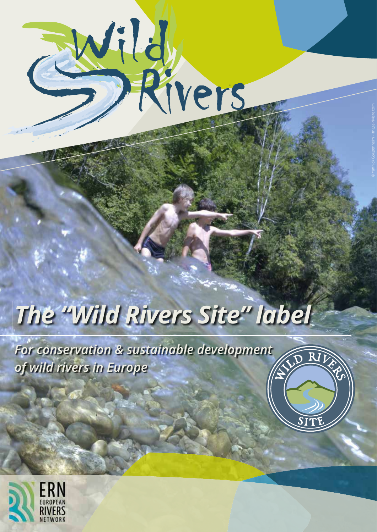

# *The "Wild Rivers Site" label*

D RIV

*For conservation & sustainable development of wild rivers in Europe*

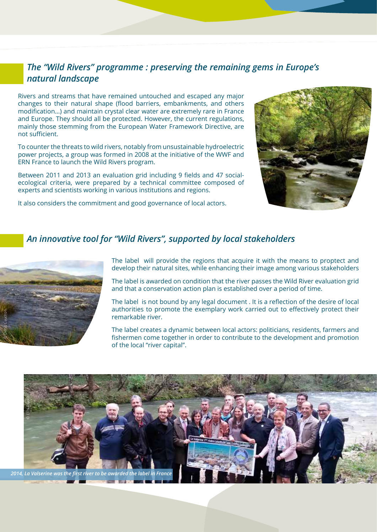#### *The "Wild Rivers" programme : preserving the remaining gems in Europe's natural landscape*

Rivers and streams that have remained untouched and escaped any major changes to their natural shape (flood barriers, embankments, and others modification…) and maintain crystal clear water are extremely rare in France and Europe. They should all be protected. However, the current regulations, mainly those stemming from the European Water Framework Directive, are not sufficient.

To counter the threats to wild rivers, notably from unsustainable hydroelectric power projects, a group was formed in 2008 at the initiative of the WWF and ERN France to launch the Wild Rivers program.

Between 2011 and 2013 an evaluation grid including 9 fields and 47 socialecological criteria, were prepared by a technical committee composed of experts and scientists working in various institutions and regions.

It also considers the commitment and good governance of local actors.



#### *An innovative tool for "Wild Rivers", supported by local stakeholders*



The label will provide the regions that acquire it with the means to proptect and develop their natural sites, while enhancing their image among various stakeholders

The label is awarded on condition that the river passes the Wild River evaluation grid and that a conservation action plan is established over a period of time.

The label is not bound by any legal document . It is a reflection of the desire of local authorities to promote the exemplary work carried out to effectively protect their remarkable river.

The label creates a dynamic between local actors: politicians, residents, farmers and fishermen come together in order to contribute to the development and promotion of the local "river capital".

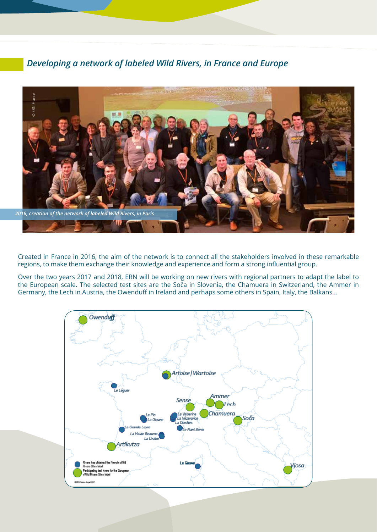#### *Developing a network of labeled Wild Rivers, in France and Europe*



Created in France in 2016, the aim of the network is to connect all the stakeholders involved in these remarkable regions, to make them exchange their knowledge and experience and form a strong influential group.

Over the two years 2017 and 2018, ERN will be working on new rivers with regional partners to adapt the label to the European scale. The selected test sites are the Soča in Slovenia, the Chamuera in Switzerland, the Ammer in Germany, the Lech in Austria, the Owenduff in Ireland and perhaps some others in Spain, Italy, the Balkans...